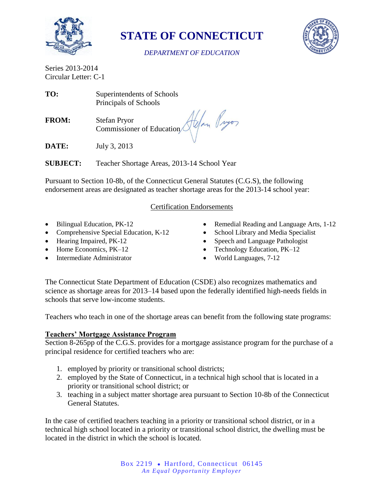

**STATE OF CONNECTICUT**



#### *DEPARTMENT OF EDUCATION*

Series 2013-2014 Circular Letter: C-1

**TO:** Superintendents of Schools Principals of Schools

**FROM:** Stefan Pryor Commissioner of Education

**DATE:** July 3, 2013

**SUBJECT:** Teacher Shortage Areas, 2013-14 School Year

Pursuant to Section 10-8b, of the Connecticut General Statutes (C.G.S), the following endorsement areas are designated as teacher shortage areas for the 2013-14 school year:

# Certification Endorsements

- Bilingual Education, PK-12
- Comprehensive Special Education, K-12
- Hearing Impaired, PK-12
- Home Economics, PK-12
- Intermediate Administrator
- Remedial Reading and Language Arts, 1-12
- School Library and Media Specialist
- Speech and Language Pathologist
- Technology Education, PK–12
- World Languages, 7-12

The Connecticut State Department of Education (CSDE) also recognizes mathematics and science as shortage areas for 2013–14 based upon the federally identified high-needs fields in schools that serve low-income students.

Teachers who teach in one of the shortage areas can benefit from the following state programs:

# **Teachers' Mortgage Assistance Program**

Section 8-265pp of the C.G.S. provides for a mortgage assistance program for the purchase of a principal residence for certified teachers who are:

- 1. employed by priority or transitional school districts;
- 2. employed by the State of Connecticut, in a technical high school that is located in a priority or transitional school district; or
- 3. teaching in a subject matter shortage area pursuant to Section 10-8b of the Connecticut General Statutes.

In the case of certified teachers teaching in a priority or transitional school district, or in a technical high school located in a priority or transitional school district, the dwelling must be located in the district in which the school is located.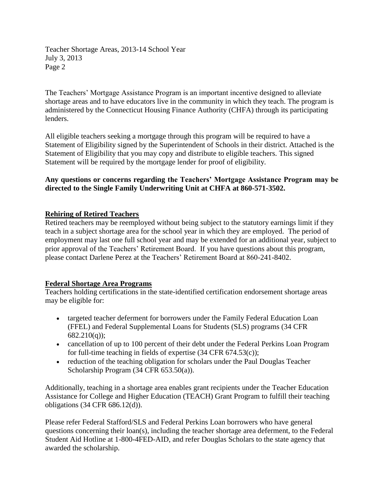Teacher Shortage Areas, 2013-14 School Year July 3, 2013 Page 2

The Teachers' Mortgage Assistance Program is an important incentive designed to alleviate shortage areas and to have educators live in the community in which they teach. The program is administered by the Connecticut Housing Finance Authority (CHFA) through its participating lenders.

All eligible teachers seeking a mortgage through this program will be required to have a Statement of Eligibility signed by the Superintendent of Schools in their district. Attached is the Statement of Eligibility that you may copy and distribute to eligible teachers. This signed Statement will be required by the mortgage lender for proof of eligibility.

#### **Any questions or concerns regarding the Teachers' Mortgage Assistance Program may be directed to the Single Family Underwriting Unit at CHFA at 860-571-3502.**

# **Rehiring of Retired Teachers**

Retired teachers may be reemployed without being subject to the statutory earnings limit if they teach in a subject shortage area for the school year in which they are employed. The period of employment may last one full school year and may be extended for an additional year, subject to prior approval of the Teachers' Retirement Board. If you have questions about this program, please contact Darlene Perez at the Teachers' Retirement Board at 860-241-8402.

# **Federal Shortage Area Programs**

Teachers holding certifications in the state-identified certification endorsement shortage areas may be eligible for:

- targeted teacher deferment for borrowers under the Family Federal Education Loan (FFEL) and Federal Supplemental Loans for Students (SLS) programs (34 CFR 682.210(q));
- cancellation of up to 100 percent of their debt under the Federal Perkins Loan Program for full-time teaching in fields of expertise (34 CFR 674.53(c));
- reduction of the teaching obligation for scholars under the Paul Douglas Teacher Scholarship Program (34 CFR 653.50(a)).

Additionally, teaching in a shortage area enables grant recipients under the Teacher Education Assistance for College and Higher Education (TEACH) Grant Program to fulfill their teaching obligations (34 CFR 686.12(d)).

Please refer Federal Stafford/SLS and Federal Perkins Loan borrowers who have general questions concerning their loan(s), including the teacher shortage area deferment, to the Federal Student Aid Hotline at 1-800-4FED-AID, and refer Douglas Scholars to the state agency that awarded the scholarship.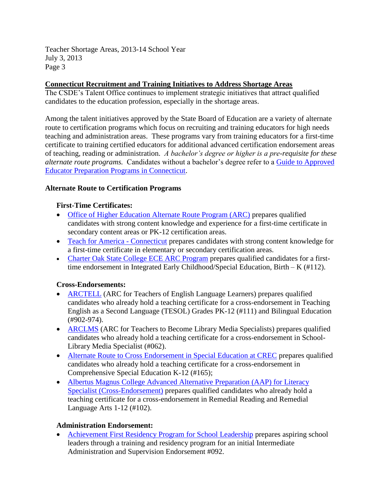Teacher Shortage Areas, 2013-14 School Year July 3, 2013 Page 3

# **Connecticut Recruitment and Training Initiatives to Address Shortage Areas**

The CSDE's Talent Office continues to implement strategic initiatives that attract qualified candidates to the education profession, especially in the shortage areas.

Among the talent initiatives approved by the State Board of Education are a variety of alternate route to certification programs which focus on recruiting and training educators for high needs teaching and administration areas. These programs vary from training educators for a first-time certificate to training certified educators for additional advanced certification endorsement areas of teaching, reading or administration. *A bachelor's degree or higher is a pre-requisite for these alternate route programs.* Candidates without a bachelor's degree refer to a [Guide to Approved](http://www.sde.ct.gov/sde/lib/sde/PDF/Cert/guides/ap_ed_prep_prgms.pdf)  [Educator Preparation Programs in Connecticut.](http://www.sde.ct.gov/sde/lib/sde/PDF/Cert/guides/ap_ed_prep_prgms.pdf)

# **Alternate Route to Certification Programs**

#### **First-Time Certificates:**

- [Office of Higher Education Alternate Route Program \(ARC\)](http://www.ctohe.org/ARC/) prepares qualified candidates with strong content knowledge and experience for a first-time certificate in secondary content areas or PK-12 certification areas.
- [Teach for America -](http://www.teachforamerica.org/) Connecticut prepares candidates with strong content knowledge for a first-time certificate in elementary or secondary certification areas.
- [Charter Oak State College ECE ARC Program](http://www.charteroak.edu/Prospective/Programs/ece_arc.cfm) prepares qualified candidates for a firsttime endorsement in Integrated Early Childhood/Special Education, Birth – K (#112).

# **Cross-Endorsements:**

- [ARCTELL](http://www.aces.org/teachers/arctell/) (ARC for Teachers of English Language Learners) prepares qualified candidates who already hold a teaching certificate for a cross-endorsement in Teaching English as a Second Language (TESOL) Grades PK-12 (#111) and Bilingual Education (#902-974).
- [ARCLMS](http://www.aces.org/teachers/arclms/) (ARC for Teachers to Become Library Media Specialists) prepares qualified candidates who already hold a teaching certificate for a cross-endorsement in School-Library Media Specialist (#062).
- [Alternate Route to Cross Endorsement in Special Education at CREC](http://www.crec.org/tabs/aarc/index.php) prepares qualified candidates who already hold a teaching certificate for a cross-endorsement in Comprehensive Special Education K-12 (#165);
- [Albertus Magnus College Advanced Alternative Preparation \(AAP\) for Literacy](http://www.albertus.edu/masters-degrees/education/AAP.php)  [Specialist \(Cross-Endorsement\)](http://www.albertus.edu/masters-degrees/education/AAP.php) prepares qualified candidates who already hold a teaching certificate for a cross-endorsement in Remedial Reading and Remedial Language Arts 1-12 (#102).

#### **Administration Endorsement:**

 [Achievement First Residency Program for School Leadership](http://www.achievementfirst.org/our-approach/residency-program/) prepares aspiring school leaders through a training and residency program for an initial Intermediate Administration and Supervision Endorsement #092.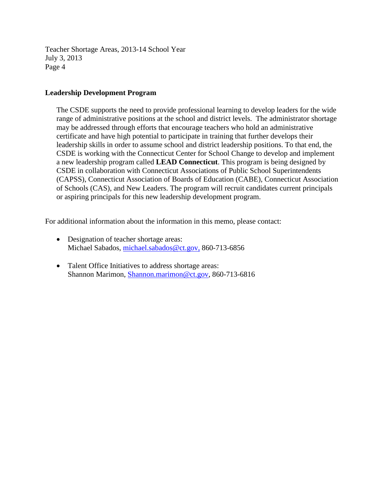Teacher Shortage Areas, 2013-14 School Year July 3, 2013 Page 4

#### **Leadership Development Program**

The CSDE supports the need to provide professional learning to develop leaders for the wide range of administrative positions at the school and district levels. The administrator shortage may be addressed through efforts that encourage teachers who hold an administrative certificate and have high potential to participate in training that further develops their leadership skills in order to assume school and district leadership positions. To that end, the CSDE is working with the Connecticut Center for School Change to develop and implement a new leadership program called **LEAD Connecticut**. This program is being designed by CSDE in collaboration with Connecticut Associations of Public School Superintendents (CAPSS), Connecticut Association of Boards of Education (CABE), Connecticut Association of Schools (CAS), and New Leaders. The program will recruit candidates current principals or aspiring principals for this new leadership development program.

For additional information about the information in this memo, please contact:

- Designation of teacher shortage areas: Michael Sabados, [michael.sabados@ct.gov,](mailto:michael.sabados@ct.gov) 860-713-6856
- Talent Office Initiatives to address shortage areas: Shannon Marimon, [Shannon.marimon@ct.gov,](mailto:Shannon.marimon@ct.gov) 860-713-6816